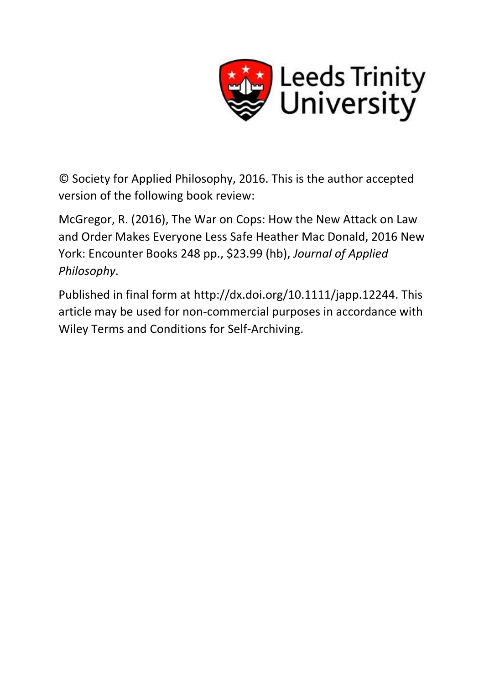

© Society for Applied Philosophy, 2016. This is the author accepted version of the following book review:

McGregor, R. (2016), The War on Cops: How the New Attack on Law and Order Makes Everyone Less Safe Heather Mac Donald, 2016 New York: Encounter Books 248 pp., \$23.99 (hb), *Journal of Applied Philosophy*.

Published in final form at http://dx.doi.org/10.1111/japp.12244. This article may be used for non-commercial purposes in accordance with Wiley Terms and Conditions for Self-Archiving.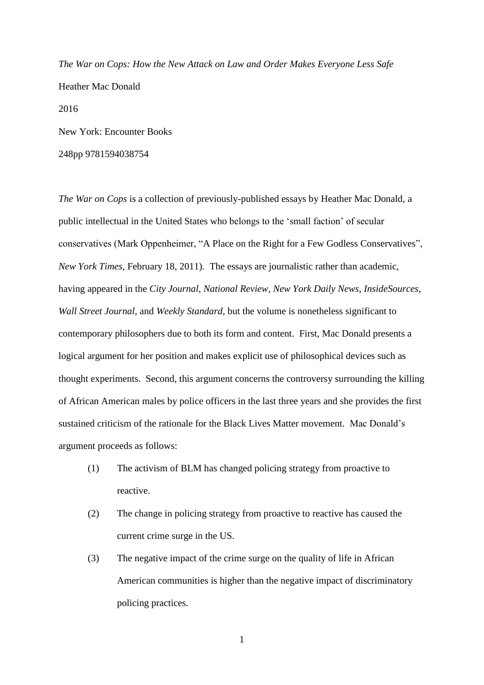*The War on Cops: How the New Attack on Law and Order Makes Everyone Less Safe* Heather Mac Donald 2016 New York: Encounter Books

248pp 9781594038754

*The War on Cops* is a collection of previously-published essays by Heather Mac Donald, a public intellectual in the United States who belongs to the 'small faction' of secular conservatives (Mark Oppenheimer, "A Place on the Right for a Few Godless Conservatives", *New York Times*, February 18, 2011). The essays are journalistic rather than academic, having appeared in the *City Journal*, *National Review*, *New York Daily News*, *InsideSources*, *Wall Street Journal*, and *Weekly Standard*, but the volume is nonetheless significant to contemporary philosophers due to both its form and content. First, Mac Donald presents a logical argument for her position and makes explicit use of philosophical devices such as thought experiments. Second, this argument concerns the controversy surrounding the killing of African American males by police officers in the last three years and she provides the first sustained criticism of the rationale for the Black Lives Matter movement. Mac Donald's argument proceeds as follows:

- (1) The activism of BLM has changed policing strategy from proactive to reactive.
- (2) The change in policing strategy from proactive to reactive has caused the current crime surge in the US.
- (3) The negative impact of the crime surge on the quality of life in African American communities is higher than the negative impact of discriminatory policing practices.

1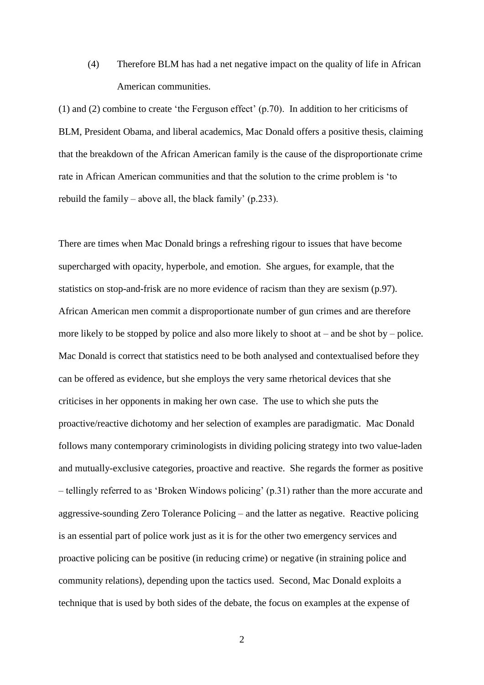(4) Therefore BLM has had a net negative impact on the quality of life in African American communities.

(1) and (2) combine to create 'the Ferguson effect' (p.70). In addition to her criticisms of BLM, President Obama, and liberal academics, Mac Donald offers a positive thesis, claiming that the breakdown of the African American family is the cause of the disproportionate crime rate in African American communities and that the solution to the crime problem is 'to rebuild the family – above all, the black family' (p.233).

There are times when Mac Donald brings a refreshing rigour to issues that have become supercharged with opacity, hyperbole, and emotion. She argues, for example, that the statistics on stop-and-frisk are no more evidence of racism than they are sexism (p.97). African American men commit a disproportionate number of gun crimes and are therefore more likely to be stopped by police and also more likely to shoot at – and be shot by – police. Mac Donald is correct that statistics need to be both analysed and contextualised before they can be offered as evidence, but she employs the very same rhetorical devices that she criticises in her opponents in making her own case. The use to which she puts the proactive/reactive dichotomy and her selection of examples are paradigmatic. Mac Donald follows many contemporary criminologists in dividing policing strategy into two value-laden and mutually-exclusive categories, proactive and reactive. She regards the former as positive – tellingly referred to as 'Broken Windows policing' (p.31) rather than the more accurate and aggressive-sounding Zero Tolerance Policing – and the latter as negative. Reactive policing is an essential part of police work just as it is for the other two emergency services and proactive policing can be positive (in reducing crime) or negative (in straining police and community relations), depending upon the tactics used. Second, Mac Donald exploits a technique that is used by both sides of the debate, the focus on examples at the expense of

2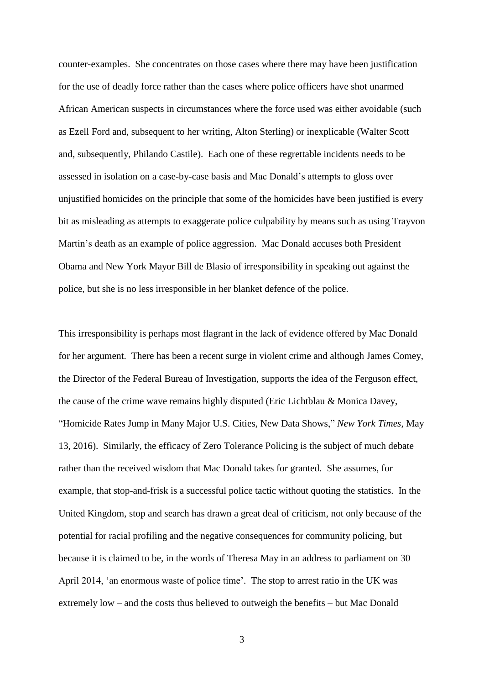counter-examples. She concentrates on those cases where there may have been justification for the use of deadly force rather than the cases where police officers have shot unarmed African American suspects in circumstances where the force used was either avoidable (such as Ezell Ford and, subsequent to her writing, Alton Sterling) or inexplicable (Walter Scott and, subsequently, Philando Castile). Each one of these regrettable incidents needs to be assessed in isolation on a case-by-case basis and Mac Donald's attempts to gloss over unjustified homicides on the principle that some of the homicides have been justified is every bit as misleading as attempts to exaggerate police culpability by means such as using Trayvon Martin's death as an example of police aggression. Mac Donald accuses both President Obama and New York Mayor Bill de Blasio of irresponsibility in speaking out against the police, but she is no less irresponsible in her blanket defence of the police.

This irresponsibility is perhaps most flagrant in the lack of evidence offered by Mac Donald for her argument. There has been a recent surge in violent crime and although James Comey, the Director of the Federal Bureau of Investigation, supports the idea of the Ferguson effect, the cause of the crime wave remains highly disputed (Eric Lichtblau & Monica Davey, "Homicide Rates Jump in Many Major U.S. Cities, New Data Shows," *New York Times*, May 13, 2016). Similarly, the efficacy of Zero Tolerance Policing is the subject of much debate rather than the received wisdom that Mac Donald takes for granted. She assumes, for example, that stop-and-frisk is a successful police tactic without quoting the statistics. In the United Kingdom, stop and search has drawn a great deal of criticism, not only because of the potential for racial profiling and the negative consequences for community policing, but because it is claimed to be, in the words of Theresa May in an address to parliament on 30 April 2014, 'an enormous waste of police time'. The stop to arrest ratio in the UK was extremely low – and the costs thus believed to outweigh the benefits – but Mac Donald

3